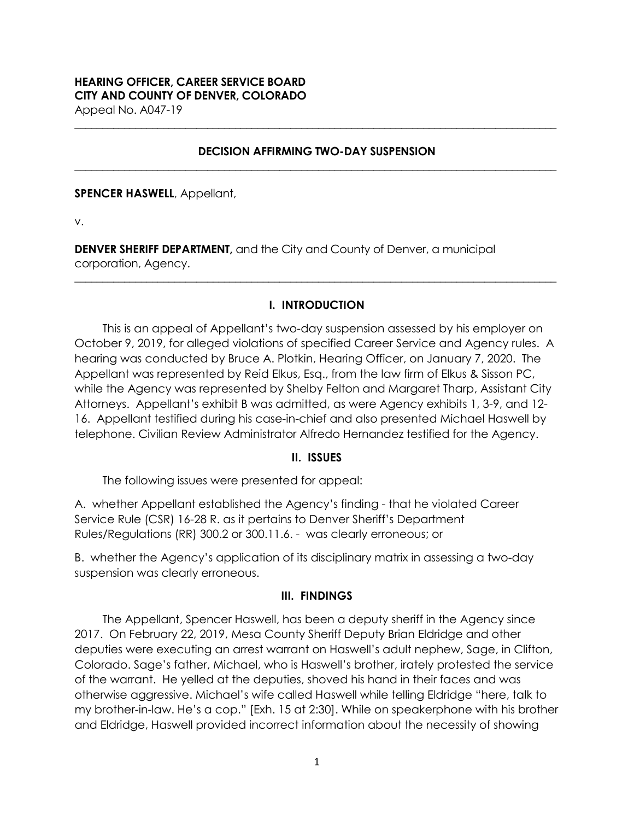# **HEARING OFFICER, CAREER SERVICE BOARD CITY AND COUNTY OF DENVER, COLORADO**

Appeal No. A047-19

#### **DECISION AFFIRMING TWO-DAY SUSPENSION \_\_\_\_\_\_\_\_\_\_\_\_\_\_\_\_\_\_\_\_\_\_\_\_\_\_\_\_\_\_\_\_\_\_\_\_\_\_\_\_\_\_\_\_\_\_\_\_\_\_\_\_\_\_\_\_\_\_\_\_\_\_\_\_\_\_\_\_\_\_\_\_\_\_\_\_\_\_\_\_\_\_\_\_\_\_\_**

**\_\_\_\_\_\_\_\_\_\_\_\_\_\_\_\_\_\_\_\_\_\_\_\_\_\_\_\_\_\_\_\_\_\_\_\_\_\_\_\_\_\_\_\_\_\_\_\_\_\_\_\_\_\_\_\_\_\_\_\_\_\_\_\_\_\_\_\_\_\_\_\_\_\_\_\_\_\_\_\_\_\_\_\_\_\_\_**

#### **SPENCER HASWELL**, Appellant,

v.

**DENVER SHERIFF DEPARTMENT,** and the City and County of Denver, a municipal corporation, Agency.

## **I. INTRODUCTION**

**\_\_\_\_\_\_\_\_\_\_\_\_\_\_\_\_\_\_\_\_\_\_\_\_\_\_\_\_\_\_\_\_\_\_\_\_\_\_\_\_\_\_\_\_\_\_\_\_\_\_\_\_\_\_\_\_\_\_\_\_\_\_\_\_\_\_\_\_\_\_\_\_\_\_\_\_\_\_\_\_\_\_\_\_\_\_\_**

This is an appeal of Appellant's two-day suspension assessed by his employer on October 9, 2019, for alleged violations of specified Career Service and Agency rules. A hearing was conducted by Bruce A. Plotkin, Hearing Officer, on January 7, 2020. The Appellant was represented by Reid Elkus, Esq., from the law firm of Elkus & Sisson PC, while the Agency was represented by Shelby Felton and Margaret Tharp, Assistant City Attorneys. Appellant's exhibit B was admitted, as were Agency exhibits 1, 3-9, and 12- 16. Appellant testified during his case-in-chief and also presented Michael Haswell by telephone. Civilian Review Administrator Alfredo Hernandez testified for the Agency.

#### **II. ISSUES**

The following issues were presented for appeal:

A. whether Appellant established the Agency's finding - that he violated Career Service Rule (CSR) 16-28 R. as it pertains to Denver Sheriff's Department Rules/Regulations (RR) 300.2 or 300.11.6. - was clearly erroneous; or

B. whether the Agency's application of its disciplinary matrix in assessing a two-day suspension was clearly erroneous.

#### **III. FINDINGS**

The Appellant, Spencer Haswell, has been a deputy sheriff in the Agency since 2017. On February 22, 2019, Mesa County Sheriff Deputy Brian Eldridge and other deputies were executing an arrest warrant on Haswell's adult nephew, Sage, in Clifton, Colorado. Sage's father, Michael, who is Haswell's brother, irately protested the service of the warrant. He yelled at the deputies, shoved his hand in their faces and was otherwise aggressive. Michael's wife called Haswell while telling Eldridge "here, talk to my brother-in-law. He's a cop." [Exh. 15 at 2:30]. While on speakerphone with his brother and Eldridge, Haswell provided incorrect information about the necessity of showing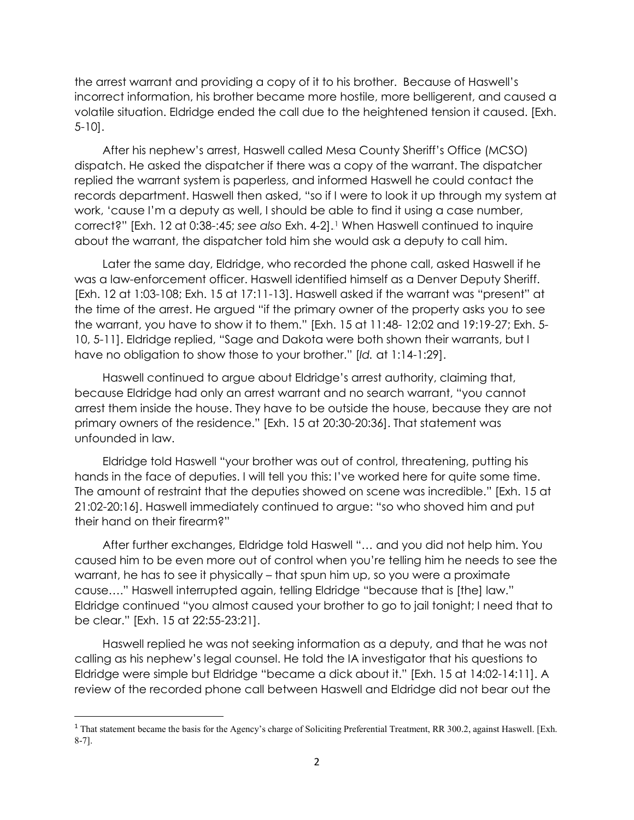the arrest warrant and providing a copy of it to his brother. Because of Haswell's incorrect information, his brother became more hostile, more belligerent, and caused a volatile situation. Eldridge ended the call due to the heightened tension it caused. [Exh. 5-10].

After his nephew's arrest, Haswell called Mesa County Sheriff's Office (MCSO) dispatch. He asked the dispatcher if there was a copy of the warrant. The dispatcher replied the warrant system is paperless, and informed Haswell he could contact the records department. Haswell then asked, "so if I were to look it up through my system at work, 'cause I'm a deputy as well, I should be able to find it using a case number, correct?" [Exh. 12 at 0:38-:45; see also Exh. 4-2].<sup>1</sup> When Haswell continued to inquire about the warrant, the dispatcher told him she would ask a deputy to call him.

Later the same day, Eldridge, who recorded the phone call, asked Haswell if he was a law-enforcement officer. Haswell identified himself as a Denver Deputy Sheriff. [Exh. 12 at 1:03-108; Exh. 15 at 17:11-13]. Haswell asked if the warrant was "present" at the time of the arrest. He argued "if the primary owner of the property asks you to see the warrant, you have to show it to them." [Exh. 15 at 11:48- 12:02 and 19:19-27; Exh. 5- 10, 5-11]. Eldridge replied, "Sage and Dakota were both shown their warrants, but I have no obligation to show those to your brother." [*Id.* at 1:14-1:29].

Haswell continued to argue about Eldridge's arrest authority, claiming that, because Eldridge had only an arrest warrant and no search warrant, "you cannot arrest them inside the house. They have to be outside the house, because they are not primary owners of the residence." [Exh. 15 at 20:30-20:36]. That statement was unfounded in law.

Eldridge told Haswell "your brother was out of control, threatening, putting his hands in the face of deputies. I will tell you this: I've worked here for quite some time. The amount of restraint that the deputies showed on scene was incredible." [Exh. 15 at 21:02-20:16]. Haswell immediately continued to argue: "so who shoved him and put their hand on their firearm?"

After further exchanges, Eldridge told Haswell "… and you did not help him. You caused him to be even more out of control when you're telling him he needs to see the warrant, he has to see it physically – that spun him up, so you were a proximate cause…." Haswell interrupted again, telling Eldridge "because that is [the] law." Eldridge continued "you almost caused your brother to go to jail tonight; I need that to be clear." [Exh. 15 at 22:55-23:21].

Haswell replied he was not seeking information as a deputy, and that he was not calling as his nephew's legal counsel. He told the IA investigator that his questions to Eldridge were simple but Eldridge "became a dick about it." [Exh. 15 at 14:02-14:11]. A review of the recorded phone call between Haswell and Eldridge did not bear out the

<sup>&</sup>lt;sup>1</sup> That statement became the basis for the Agency's charge of Soliciting Preferential Treatment, RR 300.2, against Haswell. [Exh. 8-7].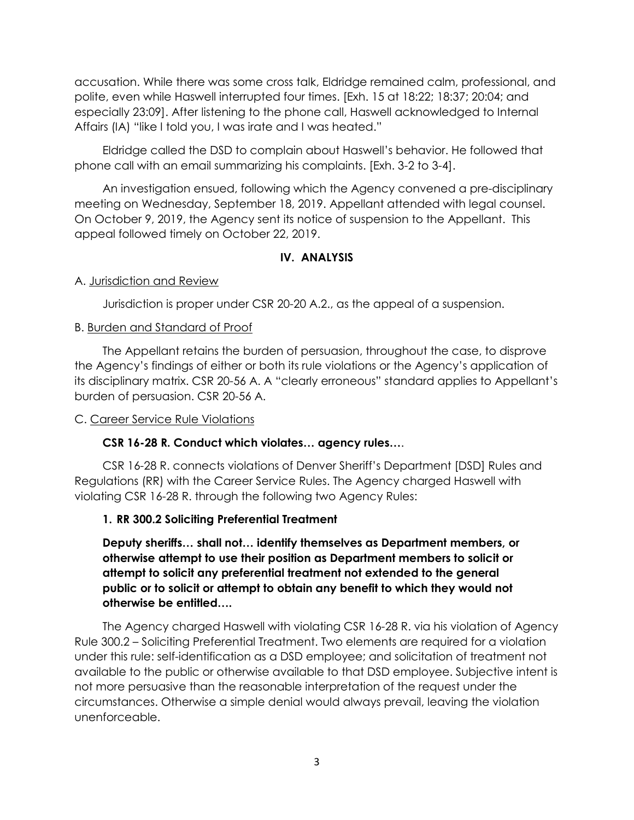accusation. While there was some cross talk, Eldridge remained calm, professional, and polite, even while Haswell interrupted four times. [Exh. 15 at 18:22; 18:37; 20:04; and especially 23:09]. After listening to the phone call, Haswell acknowledged to Internal Affairs (IA) "like I told you, I was irate and I was heated."

Eldridge called the DSD to complain about Haswell's behavior. He followed that phone call with an email summarizing his complaints. [Exh. 3-2 to 3-4].

An investigation ensued, following which the Agency convened a pre-disciplinary meeting on Wednesday, September 18, 2019. Appellant attended with legal counsel. On October 9, 2019, the Agency sent its notice of suspension to the Appellant. This appeal followed timely on October 22, 2019.

## **IV. ANALYSIS**

#### A. Jurisdiction and Review

Jurisdiction is proper under CSR 20-20 A.2., as the appeal of a suspension.

## B. Burden and Standard of Proof

The Appellant retains the burden of persuasion, throughout the case, to disprove the Agency's findings of either or both its rule violations or the Agency's application of its disciplinary matrix. CSR 20-56 A. A "clearly erroneous" standard applies to Appellant's burden of persuasion. CSR 20-56 A.

## C. Career Service Rule Violations

## **CSR 16-28 R. Conduct which violates… agency rules…**.

CSR 16-28 R. connects violations of Denver Sheriff's Department [DSD] Rules and Regulations (RR) with the Career Service Rules. The Agency charged Haswell with violating CSR 16-28 R. through the following two Agency Rules:

## **1. RR 300.2 Soliciting Preferential Treatment**

**Deputy sheriffs… shall not… identify themselves as Department members, or otherwise attempt to use their position as Department members to solicit or attempt to solicit any preferential treatment not extended to the general public or to solicit or attempt to obtain any benefit to which they would not otherwise be entitled….**

The Agency charged Haswell with violating CSR 16-28 R. via his violation of Agency Rule 300.2 – Soliciting Preferential Treatment. Two elements are required for a violation under this rule: self-identification as a DSD employee; and solicitation of treatment not available to the public or otherwise available to that DSD employee. Subjective intent is not more persuasive than the reasonable interpretation of the request under the circumstances. Otherwise a simple denial would always prevail, leaving the violation unenforceable.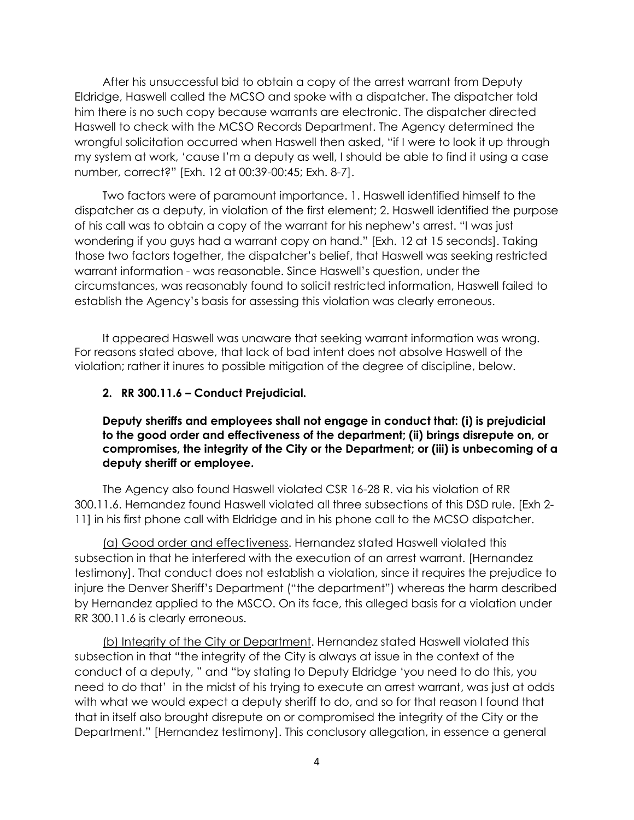After his unsuccessful bid to obtain a copy of the arrest warrant from Deputy Eldridge, Haswell called the MCSO and spoke with a dispatcher. The dispatcher told him there is no such copy because warrants are electronic. The dispatcher directed Haswell to check with the MCSO Records Department. The Agency determined the wrongful solicitation occurred when Haswell then asked, "if I were to look it up through my system at work, 'cause I'm a deputy as well, I should be able to find it using a case number, correct?" [Exh. 12 at 00:39-00:45; Exh. 8-7].

Two factors were of paramount importance. 1. Haswell identified himself to the dispatcher as a deputy, in violation of the first element; 2. Haswell identified the purpose of his call was to obtain a copy of the warrant for his nephew's arrest. "I was just wondering if you guys had a warrant copy on hand." [Exh. 12 at 15 seconds]. Taking those two factors together, the dispatcher's belief, that Haswell was seeking restricted warrant information - was reasonable. Since Haswell's question, under the circumstances, was reasonably found to solicit restricted information, Haswell failed to establish the Agency's basis for assessing this violation was clearly erroneous.

It appeared Haswell was unaware that seeking warrant information was wrong. For reasons stated above, that lack of bad intent does not absolve Haswell of the violation; rather it inures to possible mitigation of the degree of discipline, below.

#### **2. RR 300.11.6 – Conduct Prejudicial.**

#### **Deputy sheriffs and employees shall not engage in conduct that: (i) is prejudicial to the good order and effectiveness of the department; (ii) brings disrepute on, or compromises, the integrity of the City or the Department; or (iii) is unbecoming of a deputy sheriff or employee.**

The Agency also found Haswell violated CSR 16-28 R. via his violation of RR 300.11.6. Hernandez found Haswell violated all three subsections of this DSD rule. [Exh 2- 11] in his first phone call with Eldridge and in his phone call to the MCSO dispatcher.

(a) Good order and effectiveness. Hernandez stated Haswell violated this subsection in that he interfered with the execution of an arrest warrant. [Hernandez testimony]. That conduct does not establish a violation, since it requires the prejudice to injure the Denver Sheriff's Department ("the department") whereas the harm described by Hernandez applied to the MSCO. On its face, this alleged basis for a violation under RR 300.11.6 is clearly erroneous.

(b) Integrity of the City or Department. Hernandez stated Haswell violated this subsection in that "the integrity of the City is always at issue in the context of the conduct of a deputy, " and "by stating to Deputy Eldridge 'you need to do this, you need to do that' in the midst of his trying to execute an arrest warrant, was just at odds with what we would expect a deputy sheriff to do, and so for that reason I found that that in itself also brought disrepute on or compromised the integrity of the City or the Department." [Hernandez testimony]. This conclusory allegation, in essence a general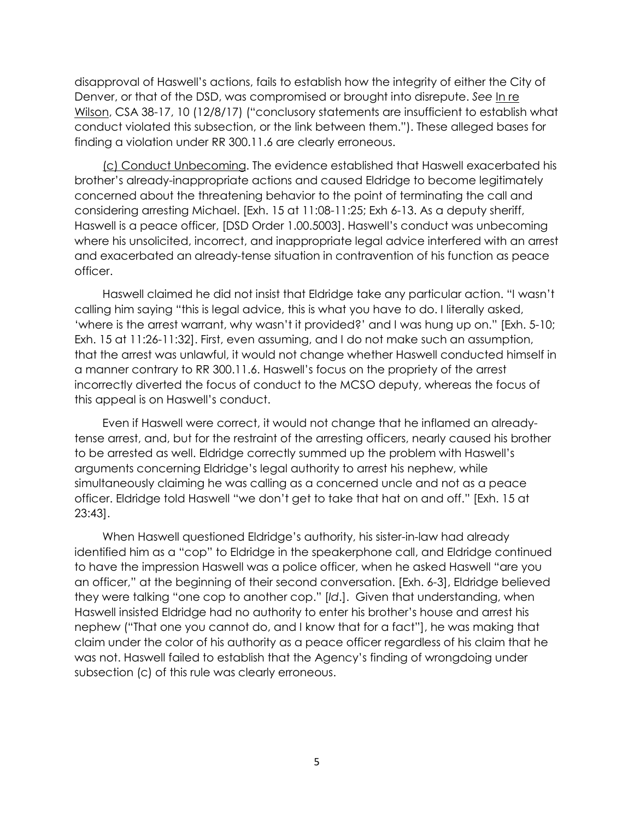disapproval of Haswell's actions, fails to establish how the integrity of either the City of Denver, or that of the DSD, was compromised or brought into disrepute. *See* In re Wilson, CSA 38-17, 10 (12/8/17) ("conclusory statements are insufficient to establish what conduct violated this subsection, or the link between them."). These alleged bases for finding a violation under RR 300.11.6 are clearly erroneous.

(c) Conduct Unbecoming. The evidence established that Haswell exacerbated his brother's already-inappropriate actions and caused Eldridge to become legitimately concerned about the threatening behavior to the point of terminating the call and considering arresting Michael. [Exh. 15 at 11:08-11:25; Exh 6-13. As a deputy sheriff, Haswell is a peace officer, [DSD Order 1.00.5003]. Haswell's conduct was unbecoming where his unsolicited, incorrect, and inappropriate legal advice interfered with an arrest and exacerbated an already-tense situation in contravention of his function as peace officer.

Haswell claimed he did not insist that Eldridge take any particular action. "I wasn't calling him saying "this is legal advice, this is what you have to do. I literally asked, 'where is the arrest warrant, why wasn't it provided?' and I was hung up on." [Exh. 5-10; Exh. 15 at 11:26-11:32]. First, even assuming, and I do not make such an assumption, that the arrest was unlawful, it would not change whether Haswell conducted himself in a manner contrary to RR 300.11.6. Haswell's focus on the propriety of the arrest incorrectly diverted the focus of conduct to the MCSO deputy, whereas the focus of this appeal is on Haswell's conduct.

Even if Haswell were correct, it would not change that he inflamed an alreadytense arrest, and, but for the restraint of the arresting officers, nearly caused his brother to be arrested as well. Eldridge correctly summed up the problem with Haswell's arguments concerning Eldridge's legal authority to arrest his nephew, while simultaneously claiming he was calling as a concerned uncle and not as a peace officer. Eldridge told Haswell "we don't get to take that hat on and off." [Exh. 15 at 23:43].

When Haswell questioned Eldridge's authority, his sister-in-law had already identified him as a "cop" to Eldridge in the speakerphone call, and Eldridge continued to have the impression Haswell was a police officer, when he asked Haswell "are you an officer," at the beginning of their second conversation. [Exh. 6-3], Eldridge believed they were talking "one cop to another cop." [*Id*.]. Given that understanding, when Haswell insisted Eldridge had no authority to enter his brother's house and arrest his nephew ("That one you cannot do, and I know that for a fact"], he was making that claim under the color of his authority as a peace officer regardless of his claim that he was not. Haswell failed to establish that the Agency's finding of wrongdoing under subsection (c) of this rule was clearly erroneous.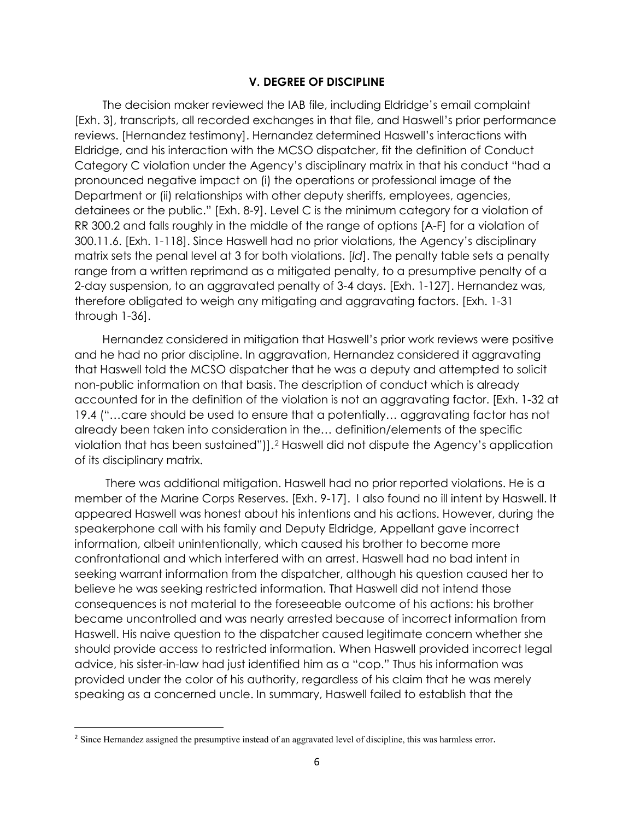#### **V. DEGREE OF DISCIPLINE**

The decision maker reviewed the IAB file, including Eldridge's email complaint [Exh. 3], transcripts, all recorded exchanges in that file, and Haswell's prior performance reviews. [Hernandez testimony]. Hernandez determined Haswell's interactions with Eldridge, and his interaction with the MCSO dispatcher, fit the definition of Conduct Category C violation under the Agency's disciplinary matrix in that his conduct "had a pronounced negative impact on (i) the operations or professional image of the Department or (ii) relationships with other deputy sheriffs, employees, agencies, detainees or the public." [Exh. 8-9]. Level C is the minimum category for a violation of RR 300.2 and falls roughly in the middle of the range of options [A-F] for a violation of 300.11.6. [Exh. 1-118]. Since Haswell had no prior violations, the Agency's disciplinary matrix sets the penal level at 3 for both violations. [*Id*]. The penalty table sets a penalty range from a written reprimand as a mitigated penalty, to a presumptive penalty of a 2-day suspension, to an aggravated penalty of 3-4 days. [Exh. 1-127]. Hernandez was, therefore obligated to weigh any mitigating and aggravating factors. [Exh. 1-31 through 1-36].

Hernandez considered in mitigation that Haswell's prior work reviews were positive and he had no prior discipline. In aggravation, Hernandez considered it aggravating that Haswell told the MCSO dispatcher that he was a deputy and attempted to solicit non-public information on that basis. The description of conduct which is already accounted for in the definition of the violation is not an aggravating factor. [Exh. 1-32 at 19.4 ("…care should be used to ensure that a potentially… aggravating factor has not already been taken into consideration in the… definition/elements of the specific violation that has been sustained")].<sup>2</sup> Haswell did not dispute the Agency's application of its disciplinary matrix.

There was additional mitigation. Haswell had no prior reported violations. He is a member of the Marine Corps Reserves. [Exh. 9-17]. I also found no ill intent by Haswell. It appeared Haswell was honest about his intentions and his actions. However, during the speakerphone call with his family and Deputy Eldridge, Appellant gave incorrect information, albeit unintentionally, which caused his brother to become more confrontational and which interfered with an arrest. Haswell had no bad intent in seeking warrant information from the dispatcher, although his question caused her to believe he was seeking restricted information. That Haswell did not intend those consequences is not material to the foreseeable outcome of his actions: his brother became uncontrolled and was nearly arrested because of incorrect information from Haswell. His naive question to the dispatcher caused legitimate concern whether she should provide access to restricted information. When Haswell provided incorrect legal advice, his sister-in-law had just identified him as a "cop." Thus his information was provided under the color of his authority, regardless of his claim that he was merely speaking as a concerned uncle. In summary, Haswell failed to establish that the

<sup>&</sup>lt;sup>2</sup> Since Hernandez assigned the presumptive instead of an aggravated level of discipline, this was harmless error.